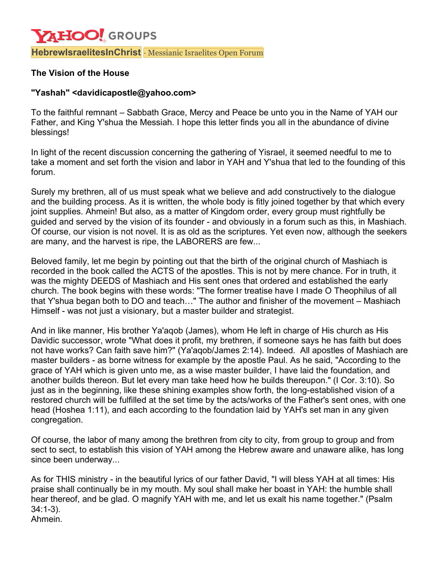## **YAHOO!** GROUPS **HebrewIsraelitesInChrist** · Messianic Israelites Open Forum

## **The Vision of the House**

## **"Yashah" <davidicapostle@yahoo.com>**

To the faithful remnant – Sabbath Grace, Mercy and Peace be unto you in the Name of YAH our Father, and King Y'shua the Messiah. I hope this letter finds you all in the abundance of divine blessings!

In light of the recent discussion concerning the gathering of Yisrael, it seemed needful to me to take a moment and set forth the vision and labor in YAH and Y'shua that led to the founding of this forum.

Surely my brethren, all of us must speak what we believe and add constructively to the dialogue and the building process. As it is written, the whole body is fitly joined together by that which every joint supplies. Ahmein! But also, as a matter of Kingdom order, every group must rightfully be guided and served by the vision of its founder - and obviously in a forum such as this, in Mashiach. Of course, our vision is not novel. It is as old as the scriptures. Yet even now, although the seekers are many, and the harvest is ripe, the LABORERS are few...

Beloved family, let me begin by pointing out that the birth of the original church of Mashiach is recorded in the book called the ACTS of the apostles. This is not by mere chance. For in truth, it was the mighty DEEDS of Mashiach and His sent ones that ordered and established the early church. The book begins with these words: "The former treatise have I made O Theophilus of all that Y'shua began both to DO and teach…" The author and finisher of the movement – Mashiach Himself - was not just a visionary, but a master builder and strategist.

And in like manner, His brother Ya'aqob (James), whom He left in charge of His church as His Davidic successor, wrote "What does it profit, my brethren, if someone says he has faith but does not have works? Can faith save him?" (Ya'aqob/James 2:14). Indeed. All apostles of Mashiach are master builders - as borne witness for example by the apostle Paul. As he said, "According to the grace of YAH which is given unto me, as a wise master builder, I have laid the foundation, and another builds thereon. But let every man take heed how he builds thereupon." (I Cor. 3:10). So just as in the beginning, like these shining examples show forth, the long-established vision of a restored church will be fulfilled at the set time by the acts/works of the Father's sent ones, with one head (Hoshea 1:11), and each according to the foundation laid by YAH's set man in any given congregation.

Of course, the labor of many among the brethren from city to city, from group to group and from sect to sect, to establish this vision of YAH among the Hebrew aware and unaware alike, has long since been underway...

As for THIS ministry - in the beautiful lyrics of our father David, "I will bless YAH at all times: His praise shall continually be in my mouth. My soul shall make her boast in YAH: the humble shall hear thereof, and be glad. O magnify YAH with me, and let us exalt his name together." (Psalm 34:1-3). Ahmein.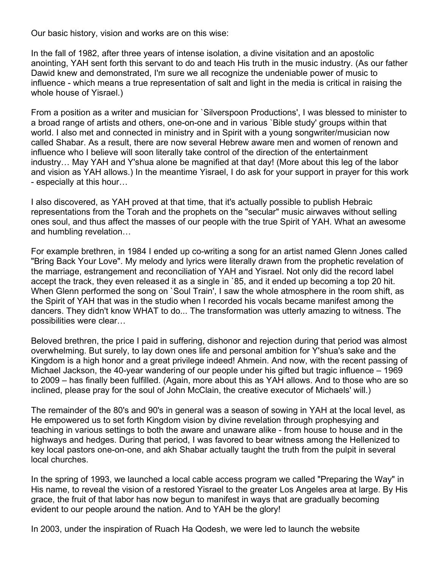Our basic history, vision and works are on this wise:

In the fall of 1982, after three years of intense isolation, a divine visitation and an apostolic anointing, YAH sent forth this servant to do and teach His truth in the music industry. (As our father Dawid knew and demonstrated, I'm sure we all recognize the undeniable power of music to influence - which means a true representation of salt and light in the media is critical in raising the whole house of Yisrael.)

From a position as a writer and musician for `Silverspoon Productions', I was blessed to minister to a broad range of artists and others, one-on-one and in various `Bible study' groups within that world. I also met and connected in ministry and in Spirit with a young songwriter/musician now called Shabar. As a result, there are now several Hebrew aware men and women of renown and influence who I believe will soon literally take control of the direction of the entertainment industry… May YAH and Y'shua alone be magnified at that day! (More about this leg of the labor and vision as YAH allows.) In the meantime Yisrael, I do ask for your support in prayer for this work - especially at this hour…

I also discovered, as YAH proved at that time, that it's actually possible to publish Hebraic representations from the Torah and the prophets on the "secular" music airwaves without selling ones soul, and thus affect the masses of our people with the true Spirit of YAH. What an awesome and humbling revelation…

For example brethren, in 1984 I ended up co-writing a song for an artist named Glenn Jones called "Bring Back Your Love". My melody and lyrics were literally drawn from the prophetic revelation of the marriage, estrangement and reconciliation of YAH and Yisrael. Not only did the record label accept the track, they even released it as a single in `85, and it ended up becoming a top 20 hit. When Glenn performed the song on 'Soul Train', I saw the whole atmosphere in the room shift, as the Spirit of YAH that was in the studio when I recorded his vocals became manifest among the dancers. They didn't know WHAT to do... The transformation was utterly amazing to witness. The possibilities were clear…

Beloved brethren, the price I paid in suffering, dishonor and rejection during that period was almost overwhelming. But surely, to lay down ones life and personal ambition for Y'shua's sake and the Kingdom is a high honor and a great privilege indeed! Ahmein. And now, with the recent passing of Michael Jackson, the 40-year wandering of our people under his gifted but tragic influence – 1969 to 2009 – has finally been fulfilled. (Again, more about this as YAH allows. And to those who are so inclined, please pray for the soul of John McClain, the creative executor of Michaels' will.)

The remainder of the 80's and 90's in general was a season of sowing in YAH at the local level, as He empowered us to set forth Kingdom vision by divine revelation through prophesying and teaching in various settings to both the aware and unaware alike - from house to house and in the highways and hedges. During that period, I was favored to bear witness among the Hellenized to key local pastors one-on-one, and akh Shabar actually taught the truth from the pulpit in several local churches.

In the spring of 1993, we launched a local cable access program we called "Preparing the Way" in His name, to reveal the vision of a restored Yisrael to the greater Los Angeles area at large. By His grace, the fruit of that labor has now begun to manifest in ways that are gradually becoming evident to our people around the nation. And to YAH be the glory!

In 2003, under the inspiration of Ruach Ha Qodesh, we were led to launch the website